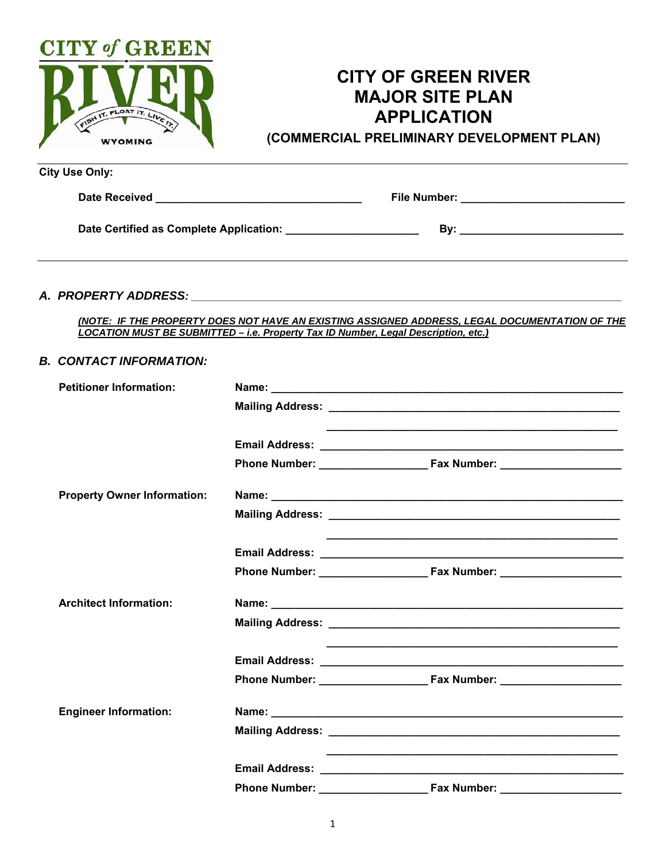

# **CITY OF GREEN RIVER MAJOR SITE PLAN APPLICATION**

**(COMMERCIAL PRELIMINARY DEVELOPMENT PLAN)**

| City Use Only:                                                                                                                                |                                             |  |
|-----------------------------------------------------------------------------------------------------------------------------------------------|---------------------------------------------|--|
| <b>Date Received</b><br><u> 1980 - Jan Berlin, mars et al. 1980 - a provincia est al provincia est al provincia est al provincia est al p</u> | File Number: <u>Cambridge Communication</u> |  |
| Date Certified as Complete Application: National Certified as Complete Application:                                                           | Bv:                                         |  |
|                                                                                                                                               |                                             |  |

# *A. PROPERTY ADDRESS: \_\_\_\_\_\_\_\_\_\_\_\_\_\_\_\_\_\_\_\_\_\_\_\_\_\_\_\_\_\_\_\_\_\_\_\_\_\_\_\_\_\_\_\_\_\_\_\_\_\_\_\_\_\_\_\_\_\_\_\_\_\_\_\_\_\_\_\_\_\_\_*

*(NOTE: IF THE PROPERTY DOES NOT HAVE AN EXISTING ASSIGNED ADDRESS, LEGAL DOCUMENTATION OF THE LOCATION MUST BE SUBMITTED – i.e. Property Tax ID Number, Legal Description, etc.)* 

## *B. CONTACT INFORMATION:*

| <b>Property Owner Information:</b>         |  |
|--------------------------------------------|--|
|                                            |  |
|                                            |  |
|                                            |  |
|                                            |  |
| <b>Architect Information:</b>              |  |
|                                            |  |
|                                            |  |
|                                            |  |
|                                            |  |
| <b>Engineer Information:</b>               |  |
|                                            |  |
|                                            |  |
| <b>Phone Number:</b><br><b>Fax Number:</b> |  |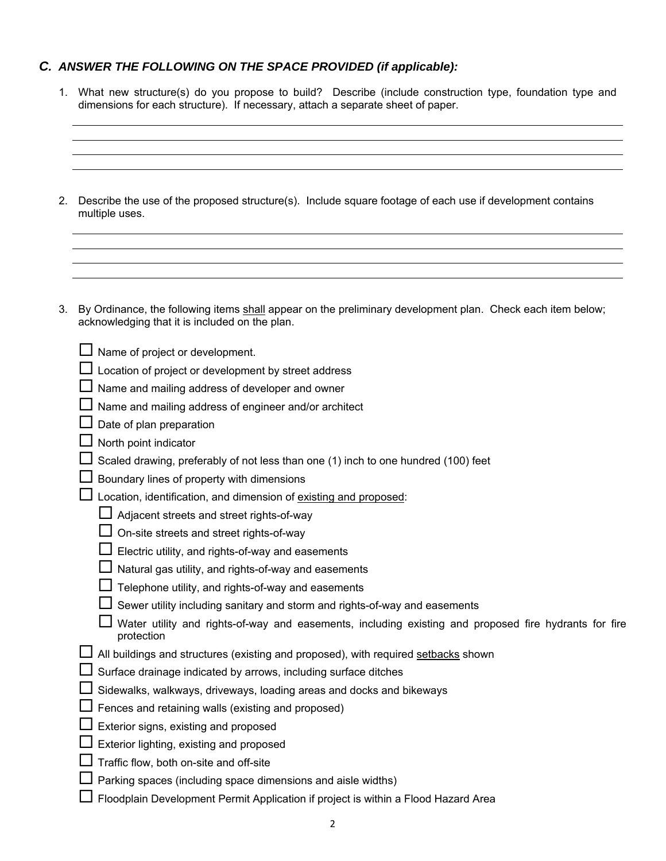# *C. ANSWER THE FOLLOWING ON THE SPACE PROVIDED (if applicable):*

- 1. What new structure(s) do you propose to build? Describe (include construction type, foundation type and dimensions for each structure). If necessary, attach a separate sheet of paper.
- 2. Describe the use of the proposed structure(s). Include square footage of each use if development contains multiple uses.
- 3. By Ordinance, the following items shall appear on the preliminary development plan. Check each item below; acknowledging that it is included on the plan.

| Name of project or development.                                                                                     |
|---------------------------------------------------------------------------------------------------------------------|
| Location of project or development by street address                                                                |
| Name and mailing address of developer and owner                                                                     |
| Name and mailing address of engineer and/or architect                                                               |
| Date of plan preparation                                                                                            |
| North point indicator                                                                                               |
| Scaled drawing, preferably of not less than one (1) inch to one hundred (100) feet                                  |
| Boundary lines of property with dimensions                                                                          |
| Location, identification, and dimension of existing and proposed:                                                   |
| Adjacent streets and street rights-of-way                                                                           |
| On-site streets and street rights-of-way                                                                            |
| Electric utility, and rights-of-way and easements                                                                   |
| Natural gas utility, and rights-of-way and easements                                                                |
| Telephone utility, and rights-of-way and easements                                                                  |
| Sewer utility including sanitary and storm and rights-of-way and easements                                          |
| Water utility and rights-of-way and easements, including existing and proposed fire hydrants for fire<br>protection |
| All buildings and structures (existing and proposed), with required setbacks shown                                  |
| Surface drainage indicated by arrows, including surface ditches                                                     |
| Sidewalks, walkways, driveways, loading areas and docks and bikeways                                                |
| Fences and retaining walls (existing and proposed)                                                                  |
| Exterior signs, existing and proposed                                                                               |
| Exterior lighting, existing and proposed                                                                            |
| Traffic flow, both on-site and off-site                                                                             |
| Parking spaces (including space dimensions and aisle widths)                                                        |
| Floodplain Development Permit Application if project is within a Flood Hazard Area                                  |